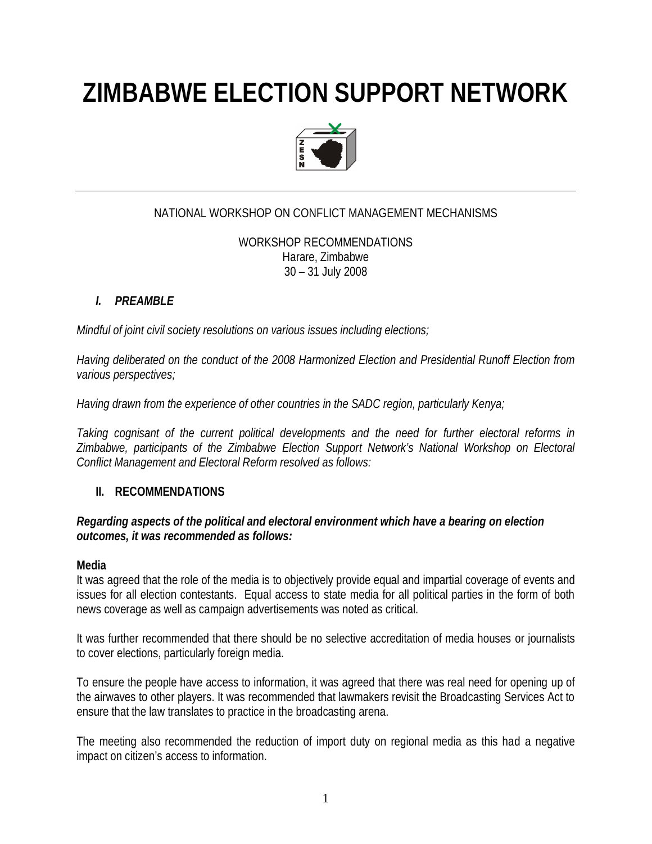# **ZIMBABWE ELECTION SUPPORT NETWORK**



# NATIONAL WORKSHOP ON CONFLICT MANAGEMENT MECHANISMS

WORKSHOP RECOMMENDATIONS Harare, Zimbabwe 30 – 31 July 2008

# *I. PREAMBLE*

*Mindful of joint civil society resolutions on various issues including elections;* 

*Having deliberated on the conduct of the 2008 Harmonized Election and Presidential Runoff Election from various perspectives;*

*Having drawn from the experience of other countries in the SADC region, particularly Kenya;*

*Taking cognisant of the current political developments and the need for further electoral reforms in Zimbabwe, participants of the Zimbabwe Election Support Network's National Workshop on Electoral Conflict Management and Electoral Reform resolved as follows:*

# **II. RECOMMENDATIONS**

# *Regarding aspects of the political and electoral environment which have a bearing on election outcomes, it was recommended as follows:*

# **Media**

It was agreed that the role of the media is to objectively provide equal and impartial coverage of events and issues for all election contestants. Equal access to state media for all political parties in the form of both news coverage as well as campaign advertisements was noted as critical.

It was further recommended that there should be no selective accreditation of media houses or journalists to cover elections, particularly foreign media.

To ensure the people have access to information, it was agreed that there was real need for opening up of the airwaves to other players. It was recommended that lawmakers revisit the Broadcasting Services Act to ensure that the law translates to practice in the broadcasting arena.

The meeting also recommended the reduction of import duty on regional media as this had a negative impact on citizen's access to information.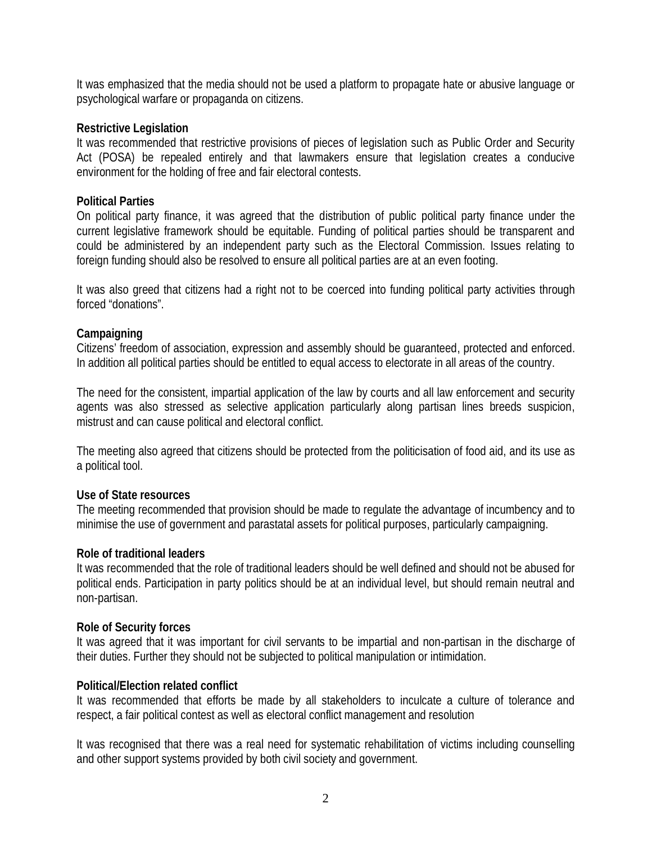It was emphasized that the media should not be used a platform to propagate hate or abusive language or psychological warfare or propaganda on citizens.

#### **Restrictive Legislation**

It was recommended that restrictive provisions of pieces of legislation such as Public Order and Security Act (POSA) be repealed entirely and that lawmakers ensure that legislation creates a conducive environment for the holding of free and fair electoral contests.

# **Political Parties**

On political party finance, it was agreed that the distribution of public political party finance under the current legislative framework should be equitable. Funding of political parties should be transparent and could be administered by an independent party such as the Electoral Commission. Issues relating to foreign funding should also be resolved to ensure all political parties are at an even footing.

It was also greed that citizens had a right not to be coerced into funding political party activities through forced "donations".

# **Campaigning**

Citizens' freedom of association, expression and assembly should be guaranteed, protected and enforced. In addition all political parties should be entitled to equal access to electorate in all areas of the country.

The need for the consistent, impartial application of the law by courts and all law enforcement and security agents was also stressed as selective application particularly along partisan lines breeds suspicion, mistrust and can cause political and electoral conflict.

The meeting also agreed that citizens should be protected from the politicisation of food aid, and its use as a political tool.

#### **Use of State resources**

The meeting recommended that provision should be made to regulate the advantage of incumbency and to minimise the use of government and parastatal assets for political purposes, particularly campaigning.

#### **Role of traditional leaders**

It was recommended that the role of traditional leaders should be well defined and should not be abused for political ends. Participation in party politics should be at an individual level, but should remain neutral and non-partisan.

#### **Role of Security forces**

It was agreed that it was important for civil servants to be impartial and non-partisan in the discharge of their duties. Further they should not be subjected to political manipulation or intimidation.

#### **Political/Election related conflict**

It was recommended that efforts be made by all stakeholders to inculcate a culture of tolerance and respect, a fair political contest as well as electoral conflict management and resolution

It was recognised that there was a real need for systematic rehabilitation of victims including counselling and other support systems provided by both civil society and government.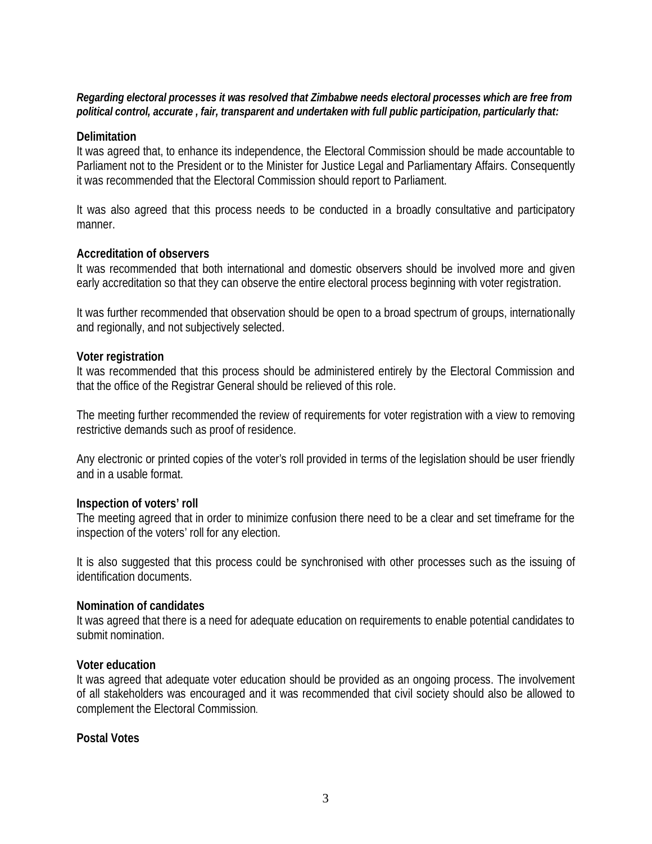#### *Regarding electoral processes it was resolved that Zimbabwe needs electoral processes which are free from political control, accurate , fair, transparent and undertaken with full public participation, particularly that:*

# **Delimitation**

It was agreed that, to enhance its independence, the Electoral Commission should be made accountable to Parliament not to the President or to the Minister for Justice Legal and Parliamentary Affairs. Consequently it was recommended that the Electoral Commission should report to Parliament.

It was also agreed that this process needs to be conducted in a broadly consultative and participatory manner.

# **Accreditation of observers**

It was recommended that both international and domestic observers should be involved more and given early accreditation so that they can observe the entire electoral process beginning with voter registration.

It was further recommended that observation should be open to a broad spectrum of groups, internationally and regionally, and not subjectively selected.

# **Voter registration**

It was recommended that this process should be administered entirely by the Electoral Commission and that the office of the Registrar General should be relieved of this role.

The meeting further recommended the review of requirements for voter registration with a view to removing restrictive demands such as proof of residence.

Any electronic or printed copies of the voter's roll provided in terms of the legislation should be user friendly and in a usable format.

#### **Inspection of voters' roll**

The meeting agreed that in order to minimize confusion there need to be a clear and set timeframe for the inspection of the voters' roll for any election.

It is also suggested that this process could be synchronised with other processes such as the issuing of identification documents.

#### **Nomination of candidates**

It was agreed that there is a need for adequate education on requirements to enable potential candidates to submit nomination.

#### **Voter education**

It was agreed that adequate voter education should be provided as an ongoing process. The involvement of all stakeholders was encouraged and it was recommended that civil society should also be allowed to complement the Electoral Commission.

# **Postal Votes**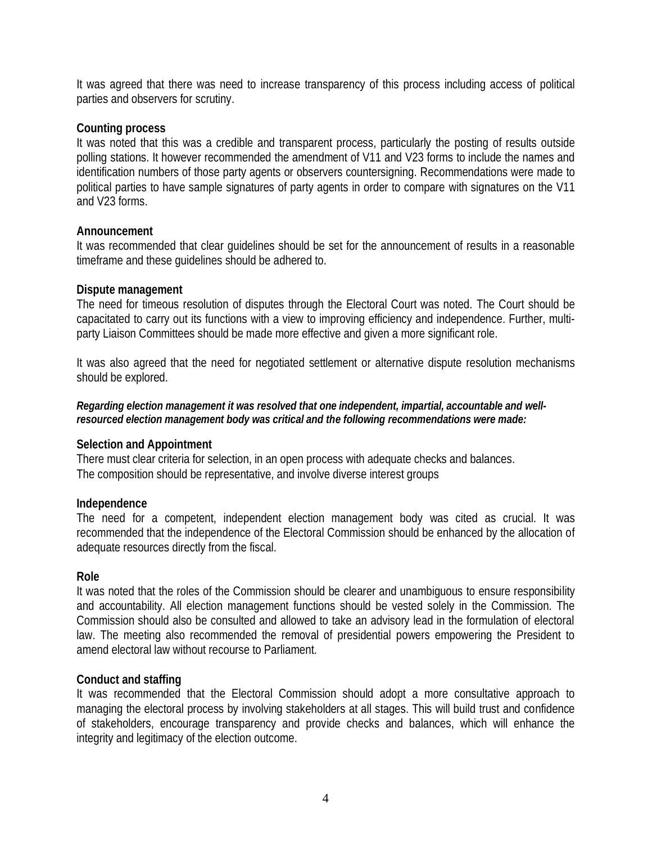It was agreed that there was need to increase transparency of this process including access of political parties and observers for scrutiny.

# **Counting process**

It was noted that this was a credible and transparent process, particularly the posting of results outside polling stations. It however recommended the amendment of V11 and V23 forms to include the names and identification numbers of those party agents or observers countersigning. Recommendations were made to political parties to have sample signatures of party agents in order to compare with signatures on the V11 and V23 forms.

#### **Announcement**

It was recommended that clear guidelines should be set for the announcement of results in a reasonable timeframe and these guidelines should be adhered to.

# **Dispute management**

The need for timeous resolution of disputes through the Electoral Court was noted. The Court should be capacitated to carry out its functions with a view to improving efficiency and independence. Further, multiparty Liaison Committees should be made more effective and given a more significant role.

It was also agreed that the need for negotiated settlement or alternative dispute resolution mechanisms should be explored.

*Regarding election management it was resolved that one independent, impartial, accountable and wellresourced election management body was critical and the following recommendations were made:*

# **Selection and Appointment**

There must clear criteria for selection, in an open process with adequate checks and balances. The composition should be representative, and involve diverse interest groups

# **Independence**

The need for a competent, independent election management body was cited as crucial. It was recommended that the independence of the Electoral Commission should be enhanced by the allocation of adequate resources directly from the fiscal.

#### **Role**

It was noted that the roles of the Commission should be clearer and unambiguous to ensure responsibility and accountability. All election management functions should be vested solely in the Commission. The Commission should also be consulted and allowed to take an advisory lead in the formulation of electoral law. The meeting also recommended the removal of presidential powers empowering the President to amend electoral law without recourse to Parliament.

# **Conduct and staffing**

It was recommended that the Electoral Commission should adopt a more consultative approach to managing the electoral process by involving stakeholders at all stages. This will build trust and confidence of stakeholders, encourage transparency and provide checks and balances, which will enhance the integrity and legitimacy of the election outcome.